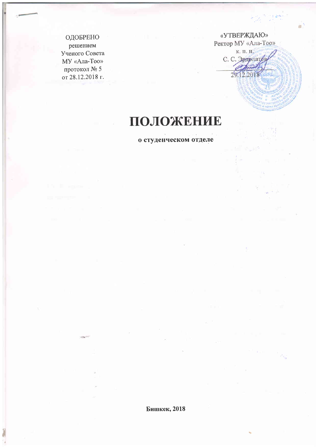ОДОБРЕНО решением Ученого Совета МУ «Ала-Тоо» протокол № 5 от 28.12.2018 г.

«УТВЕРЖДАЮ» Ректор МУ «Ала-Тоо»

к. п. н. С. С. Эрдрлатов 29.12.2018

h<sub>ra</sub>

# ПОЛОЖЕНИЕ

о студенческом отделе

Бишкек, 2018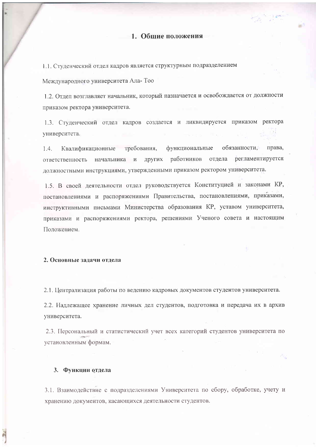1.1. Студенческий отдел кадров является структурным подразделением

Международного университета Ала-Тоо

1.2. Отдел возглавляет начальник, который назначается и освобождается от должности приказом ректора университета.

1.3. Студенческий отдел кадров создается и ликвидируется приказом ректора университета.

обязанности. права. Квалификационные требования, функциональные  $1.4.$ ответственность начальника и других работников отдела регламентируется должностными инструкциями, утвержденными приказом ректором университета.

1.5. В своей деятельности отдел руководствуется Конституцией и законами КР, постановлениями и распоряжениями Правительства, постановлениями, приказами, инструктивными письмами Министерства образования КР, уставом университета, приказами и распоряжениями ректора, решениями Ученого совета и настоящим Положением.

# 2. Основные задачи отдела

2.1. Централизация работы по ведению кадровых документов студентов университета.

2.2. Надлежащее хранение личных дел студентов, подготовка и передача их в архив университета.

2.3. Персональный и статистический учет всех категорий студентов университета по установленным формам.

#### 3. Функции отдела

3.1. Взаимодействие с подразделениями Университета по сбору, обработке, учету и хранению документов, касающихся деятельности студентов.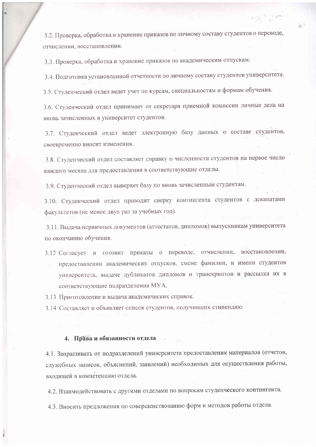3.2. Проверка, обработка и хранение приказов по личному составу студентов о переводе, отчислении, восстановлении.

3.3. Проверка, обработка и хранение приказов по академическим отпускам.

3.4. Подготовка установленной отчетности по личному составу студентов университета.

3.5. Студенческий отдел ведет учет по курсам, специальностям и формам обучения.

3.6. Студенческий отдел принимает от секретаря приемной комиссии личные дела на вновь зачисленных в университет студентов.

3.7. Студенческий отдел ведет электронную базу данных о составе студентов, своевременно вносит изменения.

3.8. Студенческий отдел составляет справку о численности студентов на первое число каждого месяца для предоставления в соответствующие отделы.

3.9. Студенческий отдел выверяет базу по вновь зачисленным студентам.

3.10. Студенческий отдел проводит сверку контингента студентов с деканатами факультетов (не менее двух раз за учебных год).

3.11. Выдача первичных документов (аттестатов, дипломов) выпускникам университета по окончанию обучения.

3.12 Согласует и готовит приказы о переводе, отчислении, восстановлении, предоставлении академических отпусков, смене фамилии, и имени студентов университета, выдаче дубликатов дипломов и транскриптов и рассылка их в соответствующие подразделения МУА,

3.13 Приготовление и выдача академических справок.

3.14 Составляет и объявляет список студентов, получивших стипендию

### 4. Права и обязанности отдела

4.1. Запрашивать от подразделений университета предоставления материалов (отчетов, служебных записок, объяснений, заявлений) необходимых для осуществления работы, вхоляшей в компетенцию отдела.

4.2. Взаимодействовать с другими отделами по вопросам студенческого контингента.

4.3. Вносить предложения по совершенствованию форм и методов работы отдела.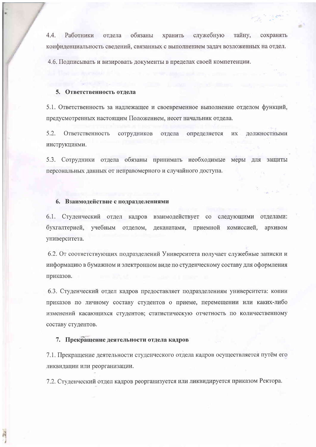служебную  $4.4.$ Работники отдела обязаны хранить тайну, сохранять конфиденциальность сведений, связанных с выполнением задач возложенных на отдел.

4.6. Подписывать и визировать документы в пределах своей компетенции.

#### 5. Ответственность отдела

5.1. Ответственность за надлежащее и своевременное выполнение отделом функций, предусмотренных настоящим Положением, несет начальник отдела.

 $5.2.$ Ответственность сотрудников отдела определяется должностными **HX** инструкциями.

5.3. Сотрудники отдела обязаны принимать необходимые меры для защиты персональных данных от неправомерного и случайного доступа.

#### 6. Взаимодействие с подразделениями

6.1. Студенческий отдел кадров взаимодействует со следующими отделами: бухгалтерией, учебным отделом, деканатами, приемной комиссией, архивом университета.

6.2. От соответствующих подразделений Университета получает служебные записки и информацию в бумажном и электронном виде по студенческому составу для оформления приказов.

6.3. Студенческий отдел кадров предоставляет подразделениям университета: копии приказов по личному составу студентов о приеме, перемещении или каких-либо изменений касающихся студентов; статистическую отчетность по количественному составу студентов.

#### 7. Прекращение деятельности отдела кадров

7.1. Прекращение деятельности студенческого отдела кадров осуществляется путём его ликвидации или реорганизации.

7.2. Студенческий отдел кадров реорганизуется или ликвидируется приказом Ректора.